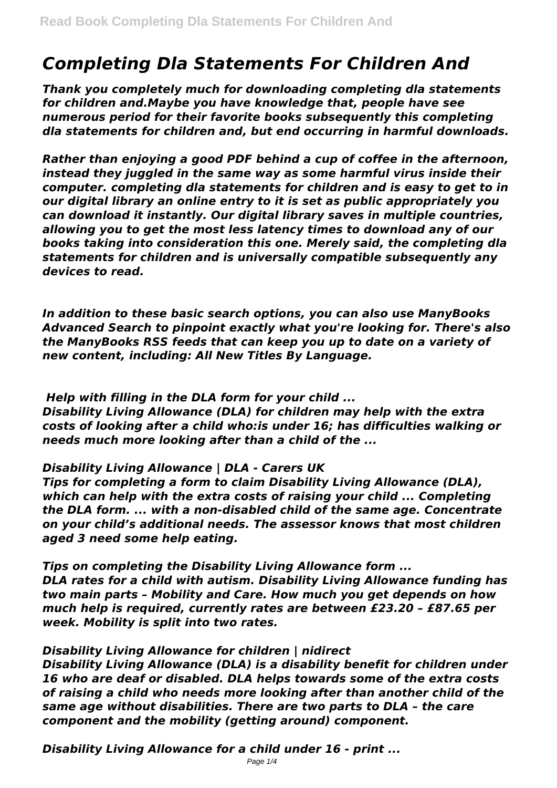# *Completing Dla Statements For Children And*

*Thank you completely much for downloading completing dla statements for children and.Maybe you have knowledge that, people have see numerous period for their favorite books subsequently this completing dla statements for children and, but end occurring in harmful downloads.*

*Rather than enjoying a good PDF behind a cup of coffee in the afternoon, instead they juggled in the same way as some harmful virus inside their computer. completing dla statements for children and is easy to get to in our digital library an online entry to it is set as public appropriately you can download it instantly. Our digital library saves in multiple countries, allowing you to get the most less latency times to download any of our books taking into consideration this one. Merely said, the completing dla statements for children and is universally compatible subsequently any devices to read.*

*In addition to these basic search options, you can also use ManyBooks Advanced Search to pinpoint exactly what you're looking for. There's also the ManyBooks RSS feeds that can keep you up to date on a variety of new content, including: All New Titles By Language.*

*Help with filling in the DLA form for your child ... Disability Living Allowance (DLA) for children may help with the extra costs of looking after a child who:is under 16; has difficulties walking or needs much more looking after than a child of the ...*

## *Disability Living Allowance | DLA - Carers UK*

*Tips for completing a form to claim Disability Living Allowance (DLA), which can help with the extra costs of raising your child ... Completing the DLA form. ... with a non-disabled child of the same age. Concentrate on your child's additional needs. The assessor knows that most children aged 3 need some help eating.*

*Tips on completing the Disability Living Allowance form ... DLA rates for a child with autism. Disability Living Allowance funding has two main parts – Mobility and Care. How much you get depends on how much help is required, currently rates are between £23.20 – £87.65 per week. Mobility is split into two rates.*

## *Disability Living Allowance for children | nidirect*

*Disability Living Allowance (DLA) is a disability benefit for children under 16 who are deaf or disabled. DLA helps towards some of the extra costs of raising a child who needs more looking after than another child of the same age without disabilities. There are two parts to DLA – the care component and the mobility (getting around) component.*

*Disability Living Allowance for a child under 16 - print ...*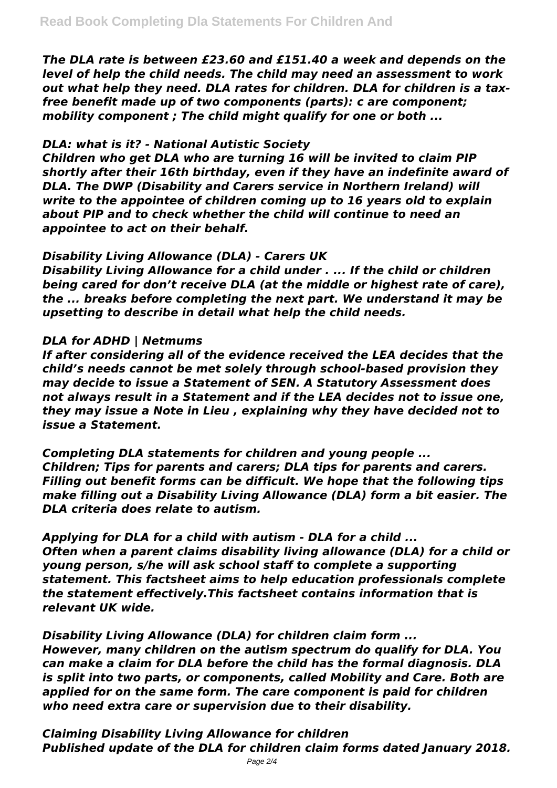*The DLA rate is between £23.60 and £151.40 a week and depends on the level of help the child needs. The child may need an assessment to work out what help they need. DLA rates for children. DLA for children is a taxfree benefit made up of two components (parts): c are component; mobility component ; The child might qualify for one or both ...*

## *DLA: what is it? - National Autistic Society*

*Children who get DLA who are turning 16 will be invited to claim PIP shortly after their 16th birthday, even if they have an indefinite award of DLA. The DWP (Disability and Carers service in Northern Ireland) will write to the appointee of children coming up to 16 years old to explain about PIP and to check whether the child will continue to need an appointee to act on their behalf.*

## *Disability Living Allowance (DLA) - Carers UK*

*Disability Living Allowance for a child under . ... If the child or children being cared for don't receive DLA (at the middle or highest rate of care), the ... breaks before completing the next part. We understand it may be upsetting to describe in detail what help the child needs.*

## *DLA for ADHD | Netmums*

*If after considering all of the evidence received the LEA decides that the child's needs cannot be met solely through school-based provision they may decide to issue a Statement of SEN. A Statutory Assessment does not always result in a Statement and if the LEA decides not to issue one, they may issue a Note in Lieu , explaining why they have decided not to issue a Statement.*

*Completing DLA statements for children and young people ... Children; Tips for parents and carers; DLA tips for parents and carers. Filling out benefit forms can be difficult. We hope that the following tips make filling out a Disability Living Allowance (DLA) form a bit easier. The DLA criteria does relate to autism.*

*Applying for DLA for a child with autism - DLA for a child ... Often when a parent claims disability living allowance (DLA) for a child or young person, s/he will ask school staff to complete a supporting statement. This factsheet aims to help education professionals complete the statement effectively.This factsheet contains information that is relevant UK wide.*

*Disability Living Allowance (DLA) for children claim form ... However, many children on the autism spectrum do qualify for DLA. You can make a claim for DLA before the child has the formal diagnosis. DLA is split into two parts, or components, called Mobility and Care. Both are applied for on the same form. The care component is paid for children who need extra care or supervision due to their disability.*

*Claiming Disability Living Allowance for children Published update of the DLA for children claim forms dated January 2018.*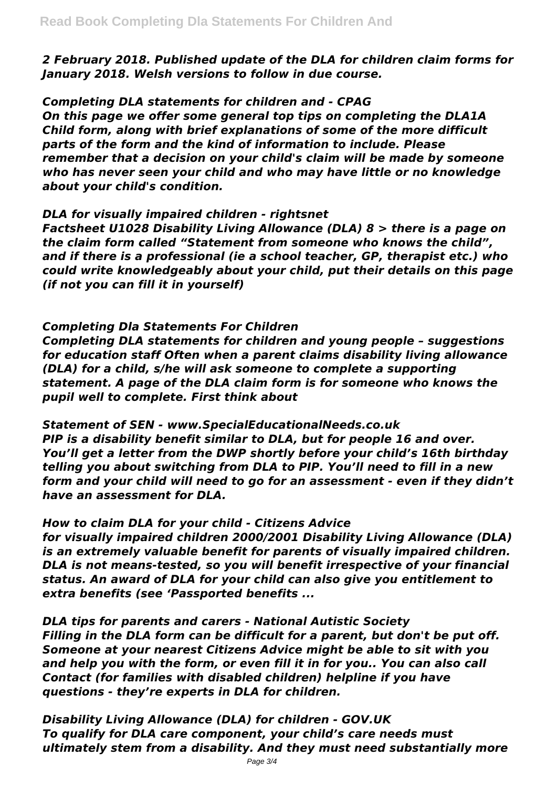*2 February 2018. Published update of the DLA for children claim forms for January 2018. Welsh versions to follow in due course.*

*Completing DLA statements for children and - CPAG*

*On this page we offer some general top tips on completing the DLA1A Child form, along with brief explanations of some of the more difficult parts of the form and the kind of information to include. Please remember that a decision on your child's claim will be made by someone who has never seen your child and who may have little or no knowledge about your child's condition.*

## *DLA for visually impaired children - rightsnet*

*Factsheet U1028 Disability Living Allowance (DLA) 8 > there is a page on the claim form called "Statement from someone who knows the child", and if there is a professional (ie a school teacher, GP, therapist etc.) who could write knowledgeably about your child, put their details on this page (if not you can fill it in yourself)*

## *Completing Dla Statements For Children*

*Completing DLA statements for children and young people – suggestions for education staff Often when a parent claims disability living allowance (DLA) for a child, s/he will ask someone to complete a supporting statement. A page of the DLA claim form is for someone who knows the pupil well to complete. First think about*

*Statement of SEN - www.SpecialEducationalNeeds.co.uk PIP is a disability benefit similar to DLA, but for people 16 and over. You'll get a letter from the DWP shortly before your child's 16th birthday telling you about switching from DLA to PIP. You'll need to fill in a new form and your child will need to go for an assessment - even if they didn't have an assessment for DLA.*

## *How to claim DLA for your child - Citizens Advice*

*for visually impaired children 2000/2001 Disability Living Allowance (DLA) is an extremely valuable benefit for parents of visually impaired children. DLA is not means-tested, so you will benefit irrespective of your financial status. An award of DLA for your child can also give you entitlement to extra benefits (see 'Passported benefits ...*

*DLA tips for parents and carers - National Autistic Society Filling in the DLA form can be difficult for a parent, but don't be put off. Someone at your nearest Citizens Advice might be able to sit with you and help you with the form, or even fill it in for you.. You can also call Contact (for families with disabled children) helpline if you have questions - they're experts in DLA for children.*

*Disability Living Allowance (DLA) for children - GOV.UK To qualify for DLA care component, your child's care needs must ultimately stem from a disability. And they must need substantially more*